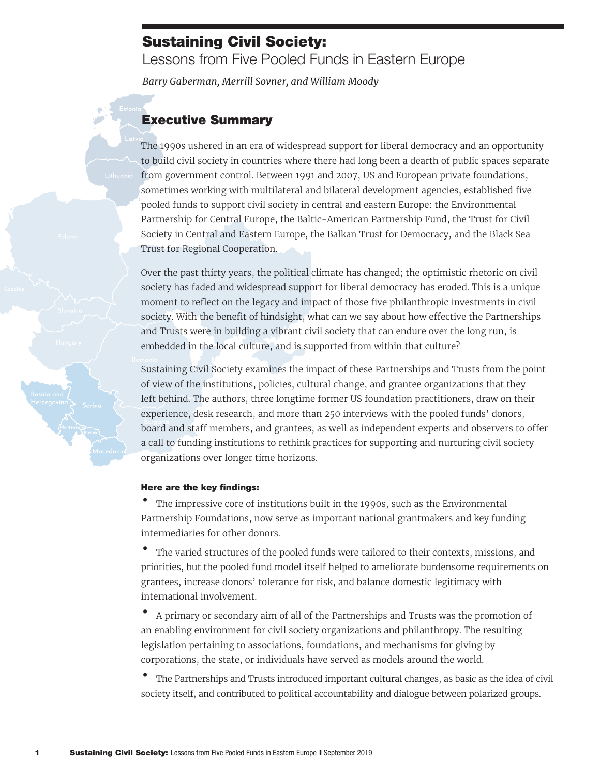## Sustaining Civil Society:

Lessons from Five Pooled Funds in Eastern Europe

*Barry Gaberman, Merrill Sovner, and William Moody*

## Executive Summary

The 1990s ushered in an era of widespread support for liberal democracy and an opportunity to build civil society in countries where there had long been a dearth of public spaces separate from government control. Between 1991 and 2007, US and European private foundations, sometimes working with multilateral and bilateral development agencies, established five pooled funds to support civil society in central and eastern Europe: the Environmental Partnership for Central Europe, the Baltic-American Partnership Fund, the Trust for Civil Society in Central and Eastern Europe, the Balkan Trust for Democracy, and the Black Sea Trust for Regional Cooperation.

Over the past thirty years, the political climate has changed; the optimistic rhetoric on civil society has faded and widespread support for liberal democracy has eroded. This is a unique moment to reflect on the legacy and impact of those five philanthropic investments in civil society. With the benefit of hindsight, what can we say about how effective the Partnerships and Trusts were in building a vibrant civil society that can endure over the long run, is embedded in the local culture, and is supported from within that culture?

Sustaining Civil Society examines the impact of these Partnerships and Trusts from the point of view of the institutions, policies, cultural change, and grantee organizations that they left behind. The authors, three longtime former US foundation practitioners, draw on their experience, desk research, and more than 250 interviews with the pooled funds' donors, board and staff members, and grantees, as well as independent experts and observers to offer a call to funding institutions to rethink practices for supporting and nurturing civil society organizations over longer time horizons.

## Here are the key findings:

• The impressive core of institutions built in the 1990s, such as the Environmental Partnership Foundations, now serve as important national grantmakers and key funding intermediaries for other donors.

• The varied structures of the pooled funds were tailored to their contexts, missions, and priorities, but the pooled fund model itself helped to ameliorate burdensome requirements on grantees, increase donors' tolerance for risk, and balance domestic legitimacy with international involvement.

• A primary or secondary aim of all of the Partnerships and Trusts was the promotion of an enabling environment for civil society organizations and philanthropy. The resulting legislation pertaining to associations, foundations, and mechanisms for giving by corporations, the state, or individuals have served as models around the world.

• The Partnerships and Trusts introduced important cultural changes, as basic as the idea of civil society itself, and contributed to political accountability and dialogue between polarized groups.